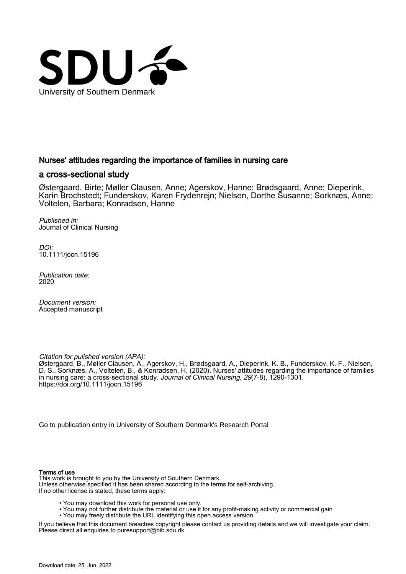

### Nurses' attitudes regarding the importance of families in nursing care

#### a cross‐sectional study

Østergaard, Birte; Møller Clausen, Anne; Agerskov, Hanne; Brødsgaard, Anne; Dieperink, Karin Brochstedt; Funderskov, Karen Frydenrejn; Nielsen, Dorthe Susanne; Sorknæs, Anne; Voltelen, Barbara; Konradsen, Hanne

Published in: Journal of Clinical Nursing

DOI: [10.1111/jocn.15196](https://doi.org/10.1111/jocn.15196)

Publication date: 2020

Document version: Accepted manuscript

Citation for pulished version (APA):

Østergaard, B., Møller Clausen, A., Agerskov, H., Brødsgaard, A., Dieperink, K. B., Funderskov, K. F., Nielsen, D. S., Sorknæs, A., Voltelen, B., & Konradsen, H. (2020). Nurses' attitudes regarding the importance of families in nursing care: a cross-sectional study. *Journal of Clinical Nursing, 29*(7-8), 1290-1301. <https://doi.org/10.1111/jocn.15196>

[Go to publication entry in University of Southern Denmark's Research Portal](https://portal.findresearcher.sdu.dk/en/publications/ab8e4eda-6aeb-44e0-87e1-7084b81603f6)

#### Terms of use

This work is brought to you by the University of Southern Denmark. Unless otherwise specified it has been shared according to the terms for self-archiving. If no other license is stated, these terms apply:

- You may download this work for personal use only.
- You may not further distribute the material or use it for any profit-making activity or commercial gain
- You may freely distribute the URL identifying this open access version

If you believe that this document breaches copyright please contact us providing details and we will investigate your claim. Please direct all enquiries to puresupport@bib.sdu.dk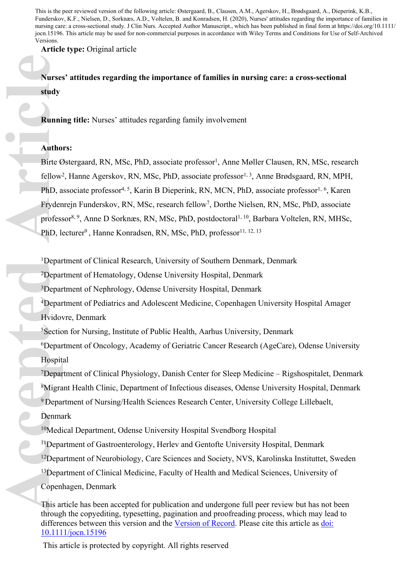This is the peer reviewed version of the following article: Østergaard, B., Clausen, A.M., Agerskov, H., Brødsgaard, A., Dieperink, K.B., Funderskov, K.F., Nielsen, D., Sorknæs, A.D., Voltelen, B. and Konradsen, H. (2020), Nurses' attitudes regarding the importance of families in nursing care: a cross‐sectional study. J Clin Nurs. Accepted Author Manuscript., which has been published in final form at https://doi.org/10.1111/ jocn.15196. This article may be used for non-commercial purposes in accordance with Wiley Terms and Conditions for Use of Self-Archived Versions.

**Article type:** Original article

**Nurses' attitudes regarding the importance of families in nursing care: a cross-sectional study** 

**Running title:** Nurses' attitudes regarding family involvement

# **Authors:**

Birte Østergaard, RN, MSc, PhD, associate professor<sup>1</sup>, Anne Møller Clausen, RN, MSc, research fellow<sup>2</sup>, Hanne Agerskov, RN, MSc, PhD, associate professor<sup>1, 3</sup>, Anne Brødsgaard, RN, MPH, PhD, associate professor<sup>4, 5</sup>, Karin B Dieperink, RN, MCN, PhD, associate professor<sup>1, 6</sup>, Karen Frydenrejn Funderskov, RN, MSc, research fellow<sup>7</sup>, Dorthe Nielsen, RN, MSc, PhD, associate professor<sup>8, 9</sup>, Anne D Sorknæs, RN, MSc, PhD, postdoctoral<sup>1, 10</sup>, Barbara Voltelen, RN, MHSc, PhD, lecturer<sup>9</sup>, Hanne Konradsen, RN, MSc, PhD, professor<sup>11, 12, 13</sup> **Autho**<br> **Autho**<br> **Autho**<br> **Autho**<br>
Birte &<br>
fellow<br>
PhD, a<br>
Fryder<br>
profess<br>
PhD, l<sub>i</sub><br>
Pepar<br>
<sup>1</sup>Depar<br>
<sup>4</sup>Depar<br>
<sup>4</sup>Depar<br>
<sup>4</sup>Depar<br>
<sup>4</sup>Depar<br>
<sup>4</sup>Depar<br>
<sup>4</sup>Depar<br>
<sup>4</sup>Depar<br>
<sup>4</sup>Depar<br>
<sup>4</sup>Depar<br>
<sup>4</sup>Depar<br>
<sup>4</sup>Depar<br>
<sup>4</sup>Dep

<sup>1</sup>Department of Clinical Research, University of Southern Denmark, Denmark

<sup>2</sup>Department of Hematology, Odense University Hospital, Denmark

<sup>3</sup>Department of Nephrology, Odense University Hospital, Denmark

<sup>4</sup>Department of Pediatrics and Adolescent Medicine, Copenhagen University Hospital Amager Hvidovre, Denmark

<sup>5</sup>Section for Nursing, Institute of Public Health, Aarhus University, Denmark

<sup>6</sup>Department of Oncology, Academy of Geriatric Cancer Research (AgeCare), Odense University Hospital

Department of Clinical Physiology, Danish Center for Sleep Medicine – Rigshospitalet, Denmark Migrant Health Clinic, Department of Infectious diseases, Odense University Hospital, Denmark Department of Nursing/Health Sciences Research Center, University College Lillebaelt, Denmark

<sup>10</sup>Medical Department, Odense University Hospital Svendborg Hospital

<sup>11</sup>Department of Gastroenterology, Herlev and Gentofte University Hospital, Denmark <sup>12</sup>Department of Neurobiology, Care Sciences and Society, NVS, Karolinska Instituttet, Sweden <sup>13</sup>Department of Clinical Medicine, Faculty of Health and Medical Sciences, University of Copenhagen, Denmark

This article has been accepted for publication and undergone full peer review but has not been through the copyediting, typesetting, pagination and proofreading process, which may lead to differences between this version and the [Version of Record.](https://doi.org/10.1111/jocn.15196) Please cite this article as [doi:](https://doi.org/10.1111/jocn.15196)  [10.1111/jocn.15196](https://doi.org/10.1111/jocn.15196)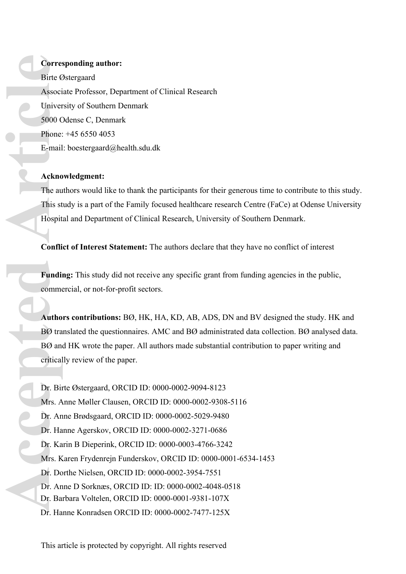## **Corresponding author:**

Birte Østergaard Associate Professor, Department of Clinical Research University of Southern Denmark 5000 Odense C, Denmark Phone: +45 6550 4053 E-mail: boestergaard@health.sdu.dk

### **Acknowledgment:**

The authors would like to thank the participants for their generous time to contribute to this study. This study is a part of the Family focused healthcare research Centre (FaCe) at Odense University Hospital and Department of Clinical Research, University of Southern Denmark.

**Conflict of Interest Statement:** The authors declare that they have no conflict of interest

**Funding:** This study did not receive any specific grant from funding agencies in the public, commercial, or not-for-profit sectors.

**Authors contributions:** BØ, HK, HA, KD, AB, ADS, DN and BV designed the study. HK and BØ translated the questionnaires. AMC and BØ administrated data collection. BØ analysed data. BØ and HK wrote the paper. All authors made substantial contribution to paper writing and critically review of the paper.

Dr. Birte Østergaard, ORCID ID: 0000-0002-9094-8123 Mrs. Anne Møller Clausen, ORCID ID: 0000-0002-9308-5116 Dr. Anne Brødsgaard, ORCID ID: 0000-0002-5029-9480 Dr. Hanne Agerskov, ORCID ID: 0000-0002-3271-0686 Dr. Karin B Dieperink, ORCID ID: 0000-0003-4766-3242 Mrs. Karen Frydenrejn Funderskov, ORCID ID: 0000-0001-6534-1453 Dr. Dorthe Nielsen, ORCID ID: 0000-0002-3954-7551 Dr. Anne D Sorknæs, ORCID ID: ID: 0000-0002-4048-0518 Dr. Barbara Voltelen, ORCID ID: 0000-0001-9381-107X Dr. Hanne Konradsen ORCID ID: 0000-0002-7477-125X **Correct Birte & Associal Univer Soloo C** Phone: E-mail Ackno The au This st Hospit Confli<br>
Fundi Confli Fundi Comme Autho BØ tra BØ an Critical Dr. Bin Mrs. A Dr. An Dr. Ha Dr. Ka Mrs. K Dr. Do Dr. An Dr. Ba Dr. Ha Dr. Ba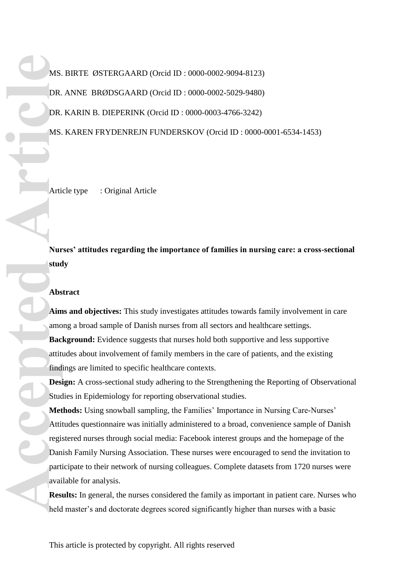MS. BIRTE ØSTERGAARD (Orcid ID : 0000-0002-9094-8123) DR. ANNE BRØDSGAARD (Orcid ID : 0000-0002-5029-9480) DR. KARIN B. DIEPERINK (Orcid ID : 0000-0003-4766-3242) MS. KAREN FRYDENREJN FUNDERSKOV (Orcid ID : 0000-0001-6534-1453)

Article type : Original Article

**Nurses' attitudes regarding the importance of families in nursing care: a cross-sectional study** 

#### **Abstract**

**Aims and objectives:** This study investigates attitudes towards family involvement in care among a broad sample of Danish nurses from all sectors and healthcare settings. **Background:** Evidence suggests that nurses hold both supportive and less supportive attitudes about involvement of family members in the care of patients, and the existing findings are limited to specific healthcare contexts.

**Design:** A cross-sectional study adhering to the Strengthening the Reporting of Observational Studies in Epidemiology for reporting observational studies.

**Methods:** Using snowball sampling, the Families' Importance in Nursing Care-Nurses' Attitudes questionnaire was initially administered to a broad, convenience sample of Danish registered nurses through social media: Facebook interest groups and the homepage of the Danish Family Nursing Association. These nurses were encouraged to send the invitation to participate to their network of nursing colleagues. Complete datasets from 1720 nurses were available for analysis. MS.<br>
DR.<br>
DR.<br>
DR.<br>
MS.<br>
DR.<br>
MS.<br>
DR.<br>
MS.<br>
Articleating anno<br> **Abs**<br>
Aim amo<br> **Bac**<br>
attitt find<br>
Desi<br>
Stud<br>
Mattitte<br>
find<br>
Desi<br>
Stud<br>
Mattitte<br>
Abs<br>
Aim amo<br>
Bac<br>
Stud<br>
Met<br>
Attitte<br>
regi.<br>
Dan<br>
partitte<br>
Rattitte<br>
r

**Results:** In general, the nurses considered the family as important in patient care. Nurses who held master's and doctorate degrees scored significantly higher than nurses with a basic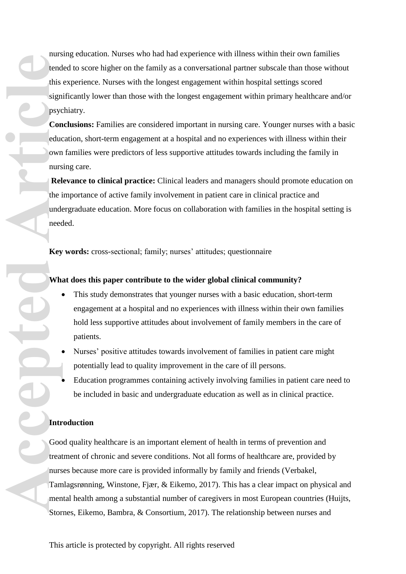nursing education. Nurses who had had experience with illness within their own families tended to score higher on the family as a conversational partner subscale than those without this experience. Nurses with the longest engagement within hospital settings scored significantly lower than those with the longest engagement within primary healthcare and/or psychiatry.

**Conclusions:** Families are considered important in nursing care. Younger nurses with a basic education, short-term engagement at a hospital and no experiences with illness within their own families were predictors of less supportive attitudes towards including the family in nursing care.

**Relevance to clinical practice:** Clinical leaders and managers should promote education on the importance of active family involvement in patient care in clinical practice and undergraduate education. More focus on collaboration with families in the hospital setting is needed.

**Key words:** cross-sectional; family; nurses' attitudes; questionnaire

### **What does this paper contribute to the wider global clinical community?**

- This study demonstrates that younger nurses with a basic education, short-term engagement at a hospital and no experiences with illness within their own families hold less supportive attitudes about involvement of family members in the care of patients.
- Nurses' positive attitudes towards involvement of families in patient care might potentially lead to quality improvement in the care of ill persons.
- Education programmes containing actively involving families in patient care need to be included in basic and undergraduate education as well as in clinical practice.

## **Introduction**

Good quality healthcare is an important element of health in terms of prevention and treatment of chronic and severe conditions. Not all forms of healthcare are, provided by nurses because more care is provided informally by family and friends (Verbakel, Tamlagsrønning, Winstone, Fjær, & Eikemo, 2017). This has a clear impact on physical and mental health among a substantial number of caregivers in most European countries (Huijts, Stornes, Eikemo, Bambra, & Consortium, 2017). The relationship between nurses and Fram Tam Street<br>
This sign psyce<br>
Con educ own nurs<br>
Rel the index<br>
Key<br>
Whis need<br>
Key<br>
Whis need<br>
He index<br>
He index<br>
He index<br>
He index<br>
He index<br>
He index<br>
He index<br>
He index<br>
He index<br>
He index<br>
He index<br>
He index<br>
He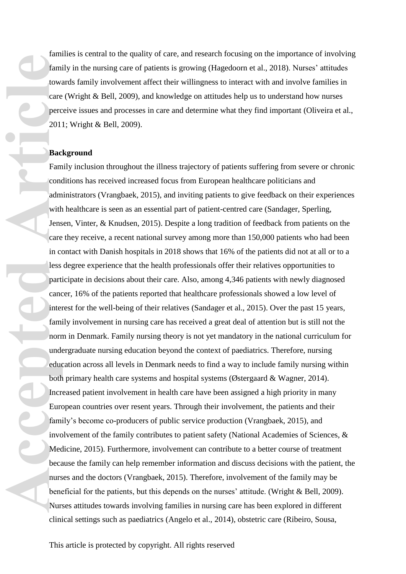families is central to the quality of care, and research focusing on the importance of involving family in the nursing care of patients is growing (Hagedoorn et al., 2018). Nurses' attitudes towards family involvement affect their willingness to interact with and involve families in care (Wright & Bell, 2009), and knowledge on attitudes help us to understand how nurses perceive issues and processes in care and determine what they find important (Oliveira et al., 2011; Wright & Bell, 2009).

#### **Background**

Family inclusion throughout the illness trajectory of patients suffering from severe or chronic conditions has received increased focus from European healthcare politicians and administrators (Vrangbaek, 2015), and inviting patients to give feedback on their experiences with healthcare is seen as an essential part of patient-centred care (Sandager, Sperling, Jensen, Vinter, & Knudsen, 2015). Despite a long tradition of feedback from patients on the care they receive, a recent national survey among more than 150,000 patients who had been in contact with Danish hospitals in 2018 shows that 16% of the patients did not at all or to a less degree experience that the health professionals offer their relatives opportunities to participate in decisions about their care. Also, among 4,346 patients with newly diagnosed cancer, 16% of the patients reported that healthcare professionals showed a low level of interest for the well-being of their relatives (Sandager et al., 2015). Over the past 15 years, family involvement in nursing care has received a great deal of attention but is still not the norm in Denmark. Family nursing theory is not yet mandatory in the national curriculum for undergraduate nursing education beyond the context of paediatrics. Therefore, nursing education across all levels in Denmark needs to find a way to include family nursing within both primary health care systems and hospital systems (Østergaard & Wagner, 2014). Increased patient involvement in health care have been assigned a high priority in many European countries over resent years. Through their involvement, the patients and their family's become co-producers of public service production (Vrangbaek, 2015), and involvement of the family contributes to patient safety (National Academies of Sciences, & Medicine, 2015). Furthermore, involvement can contribute to a better course of treatment because the family can help remember information and discuss decisions with the patient, the nurses and the doctors (Vrangbaek, 2015). Therefore, involvement of the family may be beneficial for the patients, but this depends on the nurses' attitude. (Wright & Bell, 2009). Nurses attitudes towards involving families in nursing care has been explored in different clinica l settings such as paediatrics (Angelo et al., 2014), obstetric care (Ribeiro, Sousa, Familtowi<br>
care<br>
familtowi<br>
care<br>
perc<br>
201<br> **Bac**<br>
Familtowi<br>
care<br>
adm with<br>
Jens<br>
care<br>
in co<br>
adm with<br>
Jens<br>
care<br>
in co<br>
less<br>
particles<br>
particles<br>
particles<br>
particles<br>
familter<br>
familter<br>
familter<br>
familter<br>
famil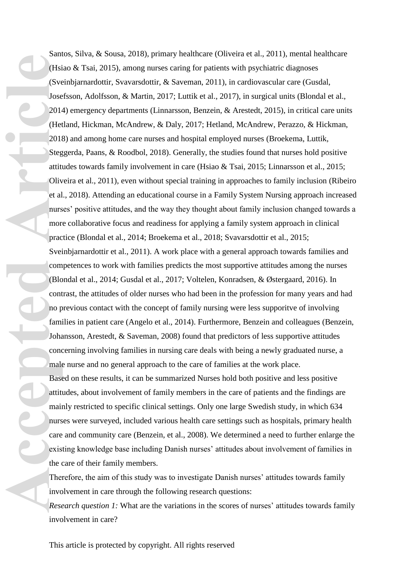Santos, Silva, & Sousa, 2018), primary healthcare (Oliveira et al., 2011), mental healthcare (Hsiao & Tsai, 2015), among nurses caring for patients with psychiatric diagnoses (Sveinbjarnardottir, Svavarsdottir, & Saveman, 2011), in cardiovascular care (Gusdal, Josefsson, Adolfsson, & Martin, 2017; Luttik et al., 2017), in surgical units (Blondal et al., 2014) emergency departments (Linnarsson, Benzein, & Arestedt, 2015), in critical care units (Hetland, Hickman, McAndrew, & Daly, 2017; Hetland, McAndrew, Perazzo, & Hickman, 2018) and among home care nurses and hospital employed nurses (Broekema, Luttik, Steggerda, Paans, & Roodbol, 2018). Generally, the studies found that nurses hold positive attitudes towards family involvement in care (Hsiao & Tsai, 2015; Linnarsson et al., 2015; Oliveira et al., 2011), even without special training in approaches to family inclusion (Ribeiro et al., 2018). Attending an educational course in a Family System Nursing approach increased nurses' positive attitudes, and the way they thought about family inclusion changed towards a more collaborative focus and readiness for applying a family system approach in clinical practice (Blondal et al., 2014; Broekema et al., 2018; Svavarsdottir et al., 2015; Sveinbjarnardottir et al., 2011). A work place with a general approach towards families and competences to work with families predicts the most supportive attitudes among the nurses (Blondal et al., 2014; Gusdal et al., 2017; Voltelen, Konradsen, & Østergaard, 2016). In contrast, the attitudes of older nurses who had been in the profession for many years and had no previous contact with the concept of family nursing were less supporitve of involving families in patient care (Angelo et al., 2014). Furthermore, Benzein and colleagues (Benzein, Johansson, Arestedt, & Saveman, 2008) found that predictors of less supportive attitudes concerning involving families in nursing care deals with being a newly graduated nurse, a male nurse and no general approach to the care of families at the work place. Based on these results, it can be summarized Nurses hold both positive and less positive attitudes, about involvement of family members in the care of patients and the findings are mainly restricted to specific clinical settings. Only one large Swedish study, in which 634 nurses were surveyed, included various health care settings such as hospitals, primary health Find Content of the Content of the Content of the Content of the Content of the Content of the Content of the Content of the Content of the Content of the Content of the Content of the Content of the Content of the Content

care and community care (Benzein, et al., 2008). We determined a need to further enlarge the existing knowledge base including Danish nurses' attitudes about involvement of families in the care of their family members.

Therefore, the aim of this study was to investigate Danish nurses' attitudes towards family involvement in care through the following research questions:

*Research question 1:* What are the variations in the scores of nurses' attitudes towards family involvement in care?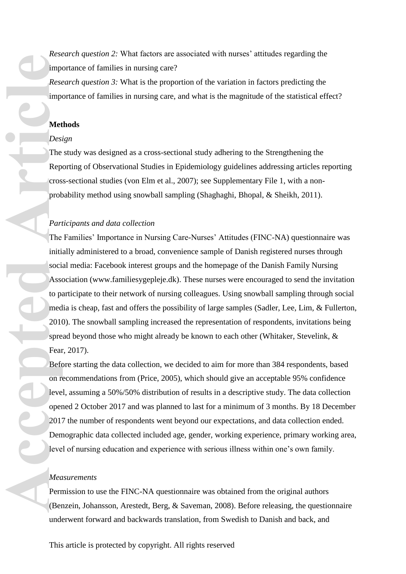*Research question 2:* What factors are associated with nurses' attitudes regarding the importance of families in nursing care?

*Research question 3:* What is the proportion of the variation in factors predicting the importance of families in nursing care, and what is the magnitude of the statistical effect?

### **Methods**

#### *Design*

The study was designed as a cross-sectional study adhering to the Strengthening the Reporting of Observational Studies in Epidemiology guidelines addressing articles reporting cross-sectional studies (von Elm et al., 2007); see Supplementary File 1, with a nonprobability method using snowball sampling (Shaghaghi, Bhopal, & Sheikh, 2011).

### *Participants and data collection*

The Families' Importance in Nursing Care-Nurses' Attitudes (FINC-NA) questionnaire was initially administered to a broad, convenience sample of Danish registered nurses through social media: Facebook interest groups and the homepage of the Danish Family Nursing Association [\(www.familiesygepleje.dk\)](http://www.familiesygepleje.dk/). These nurses were encouraged to send the invitation to participate to their network of nursing colleagues. Using snowball sampling through social media is cheap, fast and offers the possibility of large samples (Sadler, Lee, Lim, & Fullerton, 2010). The snowball sampling increased the representation of respondents, invitations being spread beyond those who might already be known to each other (Whitaker, Stevelink, & Fear, 2017). **Access the Media Contract Contract Contract Contract Contract Contract Contract Contract Contract Contract Contract Contract Contract Contract Contract Contract Contract Contract Contract Contract Contract Contract Contra** 

Before starting the data collection, we decided to aim for more than 384 respondents, based on recommendations from (Price, 2005), which should give an acceptable 95% confidence level, assuming a 50%/50% distribution of results in a descriptive study. The data collection opened 2 October 2017 and was planned to last for a minimum of 3 months. By 18 December 2017 the number of respondents went beyond our expectations, and data collection ended. Demographic data collected included age, gender, working experience, primary working area, level of nursing education and experience with serious illness within one's own family.

#### *Measurements*

Permission to use the FINC-NA questionnaire was obtained from the original authors (Benzein, Johansson, Arestedt, Berg, & Saveman, 2008). Before releasing, the questionnaire underwent forward and backwards translation, from Swedish to Danish and back, and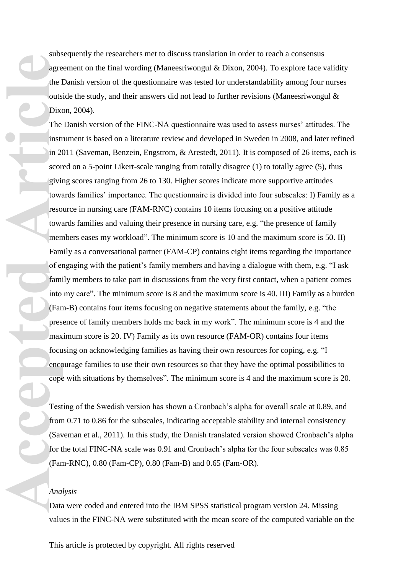subsequently the researchers met to discuss translation in order to reach a consensus agreement on the final wording (Maneesriwongul & Dixon, 2004). To explore face validity the Danish version of the questionnaire was tested for understandability among four nurses outside the study, and their answers did not lead to further revisions (Maneesriwongul & Dixon, 2004).

The Danish version of the FINC-NA questionnaire was used to assess nurses' attitudes. The instrument is based on a literature review and developed in Sweden in 2008, and later refined in 2011 (Saveman, Benzein, Engstrom, & Arestedt, 2011). It is composed of 26 items, each is scored on a 5-point Likert-scale ranging from totally disagree (1) to totally agree (5), thus giving scores ranging from 26 to 130. Higher scores indicate more supportive attitudes towards families' importance. The questionnaire is divided into four subscales: I) Family as a resource in nursing care (FAM-RNC) contains 10 items focusing on a positive attitude towards families and valuing their presence in nursing care, e.g. "the presence of family members eases my workload". The minimum score is 10 and the maximum score is 50. II) Family as a conversational partner (FAM-CP) contains eight items regarding the importance of engaging with the patient's family members and having a dialogue with them, e.g. "I ask family members to take part in discussions from the very first contact, when a patient comes into my care". The minimum score is 8 and the maximum score is 40. III) Family as a burden (Fam-B) contains four items focusing on negative statements about the family, e.g. "the presence of family members holds me back in my work". The minimum score is 4 and the maximum score is 20. IV) Family as its own resource (FAM-OR) contains four items focusing on acknowledging families as having their own resources for coping, e.g. "I encourage families to use their own resources so that they have the optimal possibilities to cope with situations by themselves". The minimum score is 4 and the maximum score is 20. **Access to the line of the line of the line of the line of the line of the line of the line of the family in the contract of the family in the contract of the family in the contract of the family of the contract of the fam** 

Testing of the Swedish version has shown a Cronbach's alpha for overall scale at 0.89, and from 0.71 to 0.86 for the subscales, indicating acceptable stability and internal consistency (Saveman et al., 2011). In this study, the Danish translated version showed Cronbach's alpha for the total FINC-NA scale was 0.91 and Cronbach's alpha for the four subscales was 0.85 (Fam-RNC), 0.80 (Fam-CP), 0.80 (Fam-B) and 0.65 (Fam-OR).

#### *Analysis*

Data were coded and entered into the IBM SPSS statistical program version 24. Missing values in the FINC-NA were substituted with the mean score of the computed variable on the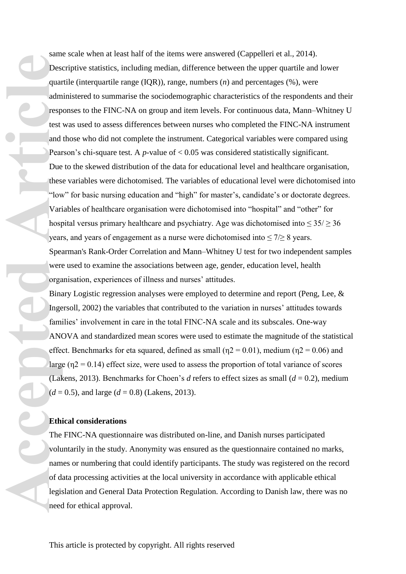same scale when at least half of the items were answered (Cappelleri et al., 2014). Descriptive statistics, including median, difference between the upper quartile and lower quartile (interquartile range (IQR)), range, numbers (*n*) and percentages (%), were administered to summarise the sociodemographic characteristics of the respondents and their responses to the FINC-NA on group and item levels. For continuous data, Mann–Whitney U test was used to assess differences between nurses who completed the FINC-NA instrument and those who did not complete the instrument. Categorical variables were compared using Pearson's chi-square test. A *p*-value of < 0.05 was considered statistically significant. Due to the skewed distribution of the data for educational level and healthcare organisation, these variables were dichotomised. The variables of educational level were dichotomised into "low" for basic nursing education and "high" for master's, candidate's or doctorate degrees. Variables of healthcare organisation were dichotomised into "hospital" and "other" for hospital versus primary healthcare and psychiatry. Age was dichotomised into  $\leq 35$ / $\geq 36$ years, and years of engagement as a nurse were dichotomised into  $\leq 7/28$  years. Spearman's Rank-Order Correlation and Mann–Whitney U test for two independent samples were used to examine the associations between age, gender, education level, health organisation, experiences of illness and nurses' attitudes. **Accepted**<br> **Article**<br> **Article**<br> **Article**<br> **Article**<br> **Article**<br> **Article**<br> **Article**<br> **Article**<br> **Article**<br> **Article**<br> **Article**<br> **Article**<br> **Article**<br> **Article**<br> **Article**<br> **Ethi**<br> **Thee**<br> **Carticle**<br> **Ethi**<br> **Thee**<br>

Binary Logistic regression analyses were employed to determine and report (Peng, Lee, & Ingersoll, 2002) the variables that contributed to the variation in nurses' attitudes towards families' involvement in care in the total FINC-NA scale and its subscales. One-way ANOVA and standardized mean scores were used to estimate the magnitude of the statistical effect. Benchmarks for eta squared, defined as small ( $\eta$ 2 = 0.01), medium ( $\eta$ 2 = 0.06) and large ( $n^2$  = 0.14) effect size, were used to assess the proportion of total variance of scores (Lakens, 2013). Benchmarks for Choen's *d* refers to effect sizes as small (*d* = 0.2), medium  $(d = 0.5)$ , and large  $(d = 0.8)$  (Lakens, 2013).

### **Ethical considerations**

The FINC-NA questionnaire was distributed on-line, and Danish nurses participated voluntarily in the study. Anonymity was ensured as the questionnaire contained no marks, names or numbering that could identify participants. The study was registered on the record of data processing activities at the local university in accordance with applicable ethical legislation and General Data Protection Regulation. According to Danish law, there was no need for ethical approval.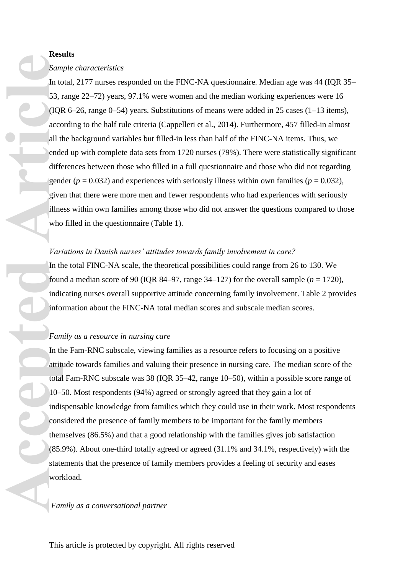#### **Results**

#### *Sample characteristics*

In total, 2177 nurses responded on the FINC-NA questionnaire. Median age was 44 (IQR 35– 53, range 22–72) years, 97.1% were women and the median working experiences were 16 (IQR 6–26, range 0–54) years. Substitutions of means were added in 25 cases (1–13 items), according to the half rule criteria (Cappelleri et al., 2014). Furthermore, 457 filled-in almost all the background variables but filled-in less than half of the FINC-NA items. Thus, we ended up with complete data sets from 1720 nurses (79%). There were statistically significant differences between those who filled in a full questionnaire and those who did not regarding gender ( $p = 0.032$ ) and experiences with seriously illness within own families ( $p = 0.032$ ), given that there were more men and fewer respondents who had experiences with seriously illness within own families among those who did not answer the questions compared to those who filled in the questionnaire (Table 1). **Access Sam In the S3, 1**<br>
In the S3, 1<br>
(IQI access all tl ends different generality)<br>
who Varn In the four indie info Fam In the duties on the difference of Article<br>
In the four indie info Fam In the attitude on the COS.

#### *Variations in Danish nurses' attitudes towards family involvement in care?*

In the total FINC-NA scale, the theoretical possibilities could range from 26 to 130. We found a median score of 90 (IQR 84–97, range 34–127) for the overall sample  $(n = 1720)$ , indicating nurses overall supportive attitude concerning family involvement. Table 2 provides information about the FINC-NA total median scores and subscale median scores.

#### *Family as a resource in nursing care*

In the Fam-RNC subscale, viewing families as a resource refers to focusing on a positive attitude towards families and valuing their presence in nursing care. The median score of the total Fam-RNC subscale was 38 (IQR 35–42, range 10–50), within a possible score range of 10–50. Most respondents (94%) agreed or strongly agreed that they gain a lot of indispensable knowledge from families which they could use in their work. Most respondents considered the presence of family members to be important for the family members themselves (86.5%) and that a good relationship with the families gives job satisfaction (85.9%). About one-third totally agreed or agreed (31.1% and 34.1%, respectively) with the statements that the presence of family members provides a feeling of security and eases workload.

#### *Family as a conversational partner*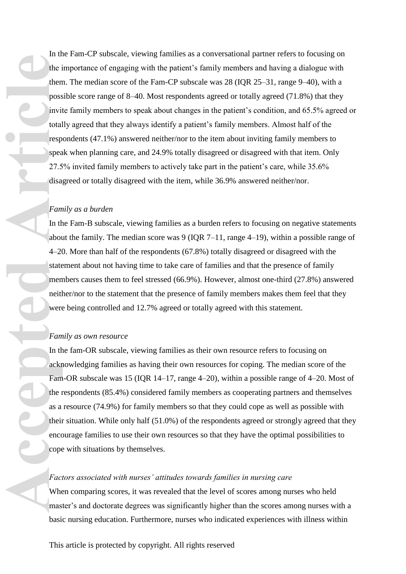In the Fam-CP subscale, viewing families as a conversational partner refers to focusing on the importance of engaging with the patient's family members and having a dialogue with them. The median score of the Fam-CP subscale was 28 (IQR 25–31, range 9–40), with a possible score range of 8–40. Most respondents agreed or totally agreed (71.8%) that they invite family members to speak about changes in the patient's condition, and 65.5% agreed or totally agreed that they always identify a patient's family members. Almost half of the respondents (47.1%) answered neither/nor to the item about inviting family members to speak when planning care, and 24.9% totally disagreed or disagreed with that item. Only 27.5% invited family members to actively take part in the patient's care, while 35.6% disagreed or totally disagreed with the item, while 36.9% answered neither/nor. Facces Cope<br>
Face<br>
The internet of the poss<br>
invit total<br>
resp spea<br>
27.5<br>
disa<br>
Fam<br>
In the about<br>
4-20<br>
state<br>
men neitl<br>
were<br>
Fam<br>
In the ackr<br>
Fam<br>
In the ackr<br>
Fam<br>
the internet of the same of the same of the same of

#### *Family as a burden*

In the Fam-B subscale, viewing families as a burden refers to focusing on negative statements about the family. The median score was 9 (IQR 7–11, range 4–19), within a possible range of 4–20. More than half of the respondents (67.8%) totally disagreed or disagreed with the statement about not having time to take care of families and that the presence of family members causes them to feel stressed (66.9%). However, almost one-third (27.8%) answered neither/nor to the statement that the presence of family members makes them feel that they were being controlled and 12.7% agreed or totally agreed with this statement.

#### *Family as own resource*

In the fam-OR subscale, viewing families as their own resource refers to focusing on acknowledging families as having their own resources for coping. The median score of the Fam-OR subscale was 15 (IQR 14–17, range 4–20), within a possible range of 4–20. Most of the respondents (85.4%) considered family members as cooperating partners and themselves as a resource (74.9%) for family members so that they could cope as well as possible with their situation. While only half (51.0%) of the respondents agreed or strongly agreed that they encourage families to use their own resources so that they have the optimal possibilities to cope with situations by themselves.

#### *Factors associated with nurses' attitudes towards families in nursing care*

When comparing scores, it was revealed that the level of scores among nurses who held master's and doctorate degrees was significantly higher than the scores among nurses with a basic nursing education. Furthermore, nurses who indicated experiences with illness within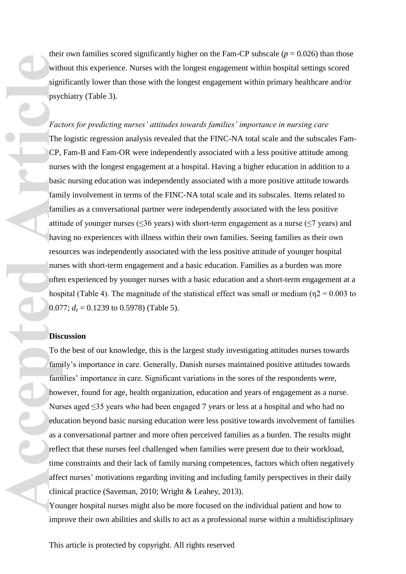their own families scored significantly higher on the Fam-CP subscale ( $p = 0.026$ ) than those without this experience. Nurses with the longest engagement within hospital settings scored significantly lower than those with the longest engagement within primary healthcare and/or psychiatry (Table 3).

*Factors for predicting nurses' attitudes towards families' importance in nursing care* The logistic regression analysis revealed that the FINC-NA total scale and the subscales Fam-CP, Fam-B and Fam-OR were independently associated with a less positive attitude among nurses with the longest engagement at a hospital. Having a higher education in addition to a basic nursing education was independently associated with a more positive attitude towards family involvement in terms of the FINC-NA total scale and its subscales. Items related to families as a conversational partner were independently associated with the less positive attitude of younger nurses ( $\leq$ 36 years) with short-term engagement as a nurse ( $\leq$ 7 years) and having no experiences with illness within their own families. Seeing families as their own resources was independently associated with the less positive attitude of younger hospital nurses with short-term engagement and a basic education. Families as a burden was more often experienced by younger nurses with a basic education and a short-term engagement at a hospital (Table 4). The magnitude of the statistical effect was small or medium ( $\eta$ 2 = 0.003 to 0.077;  $d_z = 0.1239$  to 0.5978) (Table 5). Accession and the CP, and the CP, and the CP, and the CP, and the CP, and the CP, and the CP, and the CP, and the CP, and the CP, and the CP, and the CP, and the CP, and the CH, and the CH, as a complement of the CH, as a

### **Discussion**

To the best of our knowledge, this is the largest study investigating attitudes nurses towards family's importance in care. Generally, Danish nurses maintained positive attitudes towards families' importance in care. Significant variations in the sores of the respondents were, however, found for age, health organization, education and years of engagement as a nurse. Nurses aged ≤35 years who had been engaged 7 years or less at a hospital and who had no education beyond basic nursing education were less positive towards involvement of families as a conversational partner and more often perceived families as a burden. The results might reflect that these nurses feel challenged when families were present due to their workload, time constraints and their lack of family nursing competences, factors which often negatively affect nurses' motivations regarding inviting and including family perspectives in their daily clinical practice (Saveman, 2010; Wright & Leahey, 2013).

Younger hospital nurses might also be more focused on the individual patient and how to improve their own abilities and skills to act as a professional nurse within a multidisciplinary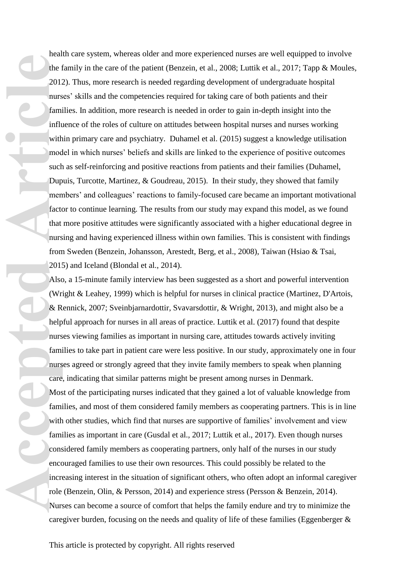health care system, whereas older and more experienced nurses are well equipped to involve the family in the care of the patient (Benzein, et al., 2008; Luttik et al., 2017; Tapp & Moules, 2012). Thus, more research is needed regarding development of undergraduate hospital nurses' skills and the competencies required for taking care of both patients and their families. In addition, more research is needed in order to gain in-depth insight into the influence of the roles of culture on attitudes between hospital nurses and nurses working within primary care and psychiatry. Duhamel et al. (2015) suggest a knowledge utilisation model in which nurses' beliefs and skills are linked to the experience of positive outcomes such as self-reinforcing and positive reactions from patients and their families (Duhamel, Dupuis, Turcotte, Martinez, & Goudreau, 2015). In their study, they showed that family members' and colleagues' reactions to family-focused care became an important motivational factor to continue learning. The results from our study may expand this model, as we found that more positive attitudes were significantly associated with a higher educational degree in nursing and having experienced illness within own families. This is consistent with findings from Sweden (Benzein, Johansson, Arestedt, Berg, et al., 2008), Taiwan (Hsiao & Tsai, 2015) and Iceland (Blondal et al., 2014).

Also, a 15-minute family interview has been suggested as a short and powerful intervention (Wright & Leahey, 1999) which is helpful for nurses in clinical practice (Martinez, D'Artois, & Rennick, 2007; Sveinbjarnardottir, Svavarsdottir, & Wright, 2013), and might also be a helpful approach for nurses in all areas of practice. Luttik et al. (2017) found that despite nurses viewing families as important in nursing care, attitudes towards actively inviting families to take part in patient care were less positive. In our study, approximately one in four nurses agreed or strongly agreed that they invite family members to speak when planning care, indicating that similar patterns might be present among nurses in Denmark. Most of the participating nurses indicated that they gained a lot of valuable knowledge from families, and most of them considered family members as cooperating partners. This is in line with other studies, which find that nurses are supportive of families' involvement and view families as important in care (Gusdal et al., 2017; Luttik et al., 2017). Even though nurses considered family members as cooperating partners, only half of the nurses in our study encouraged families to use their own resources. This could possibly be related to the increasing interest in the situation of significant others, who often adopt an informal caregiver role (Benzein, Olin, & Persson, 2014) and experience stress (Persson & Benzein, 2014). Nurses can become a source of comfort that helps the family endure and try to minimize the caregiver burden, focusing on the needs and quality of life of these families (Eggenberger & **Access to the first definition of the first definition of the first definition of such an article** nurs are Mos faming with faming with faming with faming with faming ons encodered increase Nurs are Nurs from the Nurs car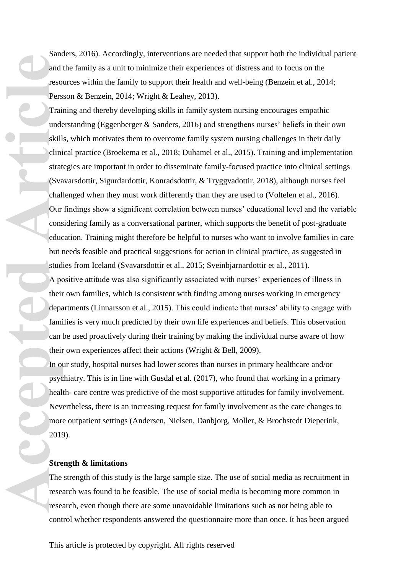Sanders, 2016). Accordingly, interventions are needed that support both the individual patient and the family as a unit to minimize their experiences of distress and to focus on the resources within the family to support their health and well-being (Benzein et al., 2014; Persson & Benzein, 2014; Wright & Leahey, 2013).

Training and thereby developing skills in family system nursing encourages empathic understanding (Eggenberger & Sanders, 2016) and strengthens nurses' beliefs in their own skills, which motivates them to overcome family system nursing challenges in their daily clinical practice (Broekema et al., 2018; Duhamel et al., 2015). Training and implementation strategies are important in order to disseminate family-focused practice into clinical settings (Svavarsdottir, Sigurdardottir, Konradsdottir, & Tryggvadottir, 2018), although nurses feel challenged when they must work differently than they are used to (Voltelen et al., 2016). Our findings show a significant correlation between nurses' educational level and the variable considering family as a conversational partner, which supports the benefit of post-graduate education. Training might therefore be helpful to nurses who want to involve families in care but needs feasible and practical suggestions for action in clinical practice, as suggested in studies from Iceland (Svavarsdottir et al., 2015; Sveinbjarnardottir et al., 2011). A positive attitude was also significantly associated with nurses' experiences of illness in **Accepted**<br>
And reso<br>
Pers<br>
Trai undd<br>
skill clini strat<br>
skill clini strat<br>
skill clini strat<br>
(Sva chal<br>
Our cons<br>
educ but i stud<br>
A pe<br>
fami can<br>
fami can<br>
fami can<br>
fami can<br>
fami can<br>
fami can<br>
fami can<br>
fami can<br>
fa

their own families, which is consistent with finding among nurses working in emergency departments (Linnarsson et al., 2015). This could indicate that nurses' ability to engage with families is very much predicted by their own life experiences and beliefs. This observation can be used proactively during their training by making the individual nurse aware of how their own experiences affect their actions (Wright & Bell, 2009).

In our study, hospital nurses had lower scores than nurses in primary healthcare and/or psychiatry. This is in line with Gusdal et al. (2017), who found that working in a primary health- care centre was predictive of the most supportive attitudes for family involvement. Nevertheless, there is an increasing request for family involvement as the care changes to more outpatient settings (Andersen, Nielsen, Danbjorg, Moller, & Brochstedt Dieperink, 2019).

#### **Strength & limitations**

The strength of this study is the large sample size. The use of social media as recruitment in research was found to be feasible. The use of social media is becoming more common in research, even though there are some unavoidable limitations such as not being able to control whether respondents answered the questionnaire more than once. It has been argued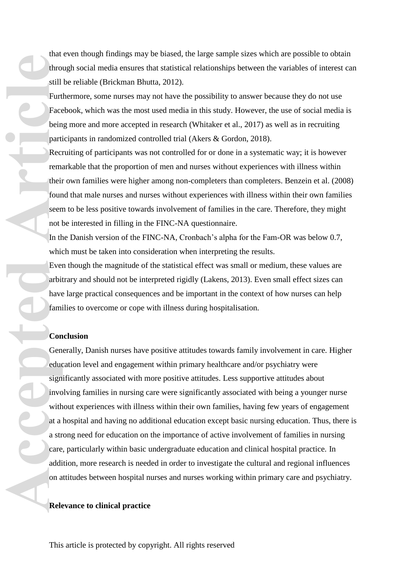that even though findings may be biased, the large sample sizes which are possible to obtain through social media ensures that statistical relationships between the variables of interest can still be reliable (Brickman Bhutta, 2012).

Furthermore, some nurses may not have the possibility to answer because they do not use Facebook, which was the most used media in this study. However, the use of social media is being more and more accepted in research (Whitaker et al., 2017) as well as in recruiting participants in randomized controlled trial (Akers & Gordon, 2018).

Recruiting of participants was not controlled for or done in a systematic way; it is however remarkable that the proportion of men and nurses without experiences with illness within their own families were higher among non-completers than completers. Benzein et al. (2008) found that male nurses and nurses without experiences with illness within their own families seem to be less positive towards involvement of families in the care. Therefore, they might not be interested in filling in the FINC-NA questionnaire.

In the Danish version of the FINC-NA, Cronbach's alpha for the Fam-OR was below 0.7, which must be taken into consideration when interpreting the results.

Even though the magnitude of the statistical effect was small or medium, these values are arbitrary and should not be interpreted rigidly (Lakens, 2013). Even small effect sizes can have large practical consequences and be important in the context of how nurses can help families to overcome or cope with illness during hospitalisation.

### **Conclusion**

Generally, Danish nurses have positive attitudes towards family involvement in care. Higher education level and engagement within primary healthcare and/or psychiatry were significantly associated with more positive attitudes. Less supportive attitudes about involving families in nursing care were significantly associated with being a younger nurse without experiences with illness within their own families, having few years of engagement at a hospital and having no additional education except basic nursing education. Thus, there is a strong need for education on the importance of active involvement of families in nursing care, particularly within basic undergraduate education and clinical hospital practice. In addition, more research is needed in order to investigate the cultural and regional influences on attitudes between hospital nurses and nurses working within primary care and psychiatry. accepted Articles Control Control Control Control Control Control Control Control Control Control Control Control Control Control Control Control Control Control Control Control Control Control Control Control Control Cont

#### **Relevance to clinical practice**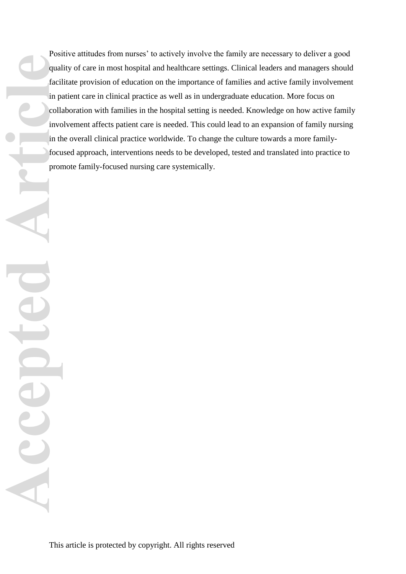Positive attitudes from nurses' to actively involve the family are necessary to deliver a good quality of care in most hospital and healthcare settings. Clinical leaders and managers should facilitate provision of education on the importance of families and active family involvement in patient care in clinical practice as well as in undergraduate education. More focus on collaboration with families in the hospital setting is needed. Knowledge on how active family involvement affects patient care is needed. This could lead to an expansion of family nursing in the overall clinical practice worldwide. To change the culture towards a more familyfocused approach, interventions needs to be developed, tested and translated into practice to promote family-focused nursing care systemically. **Accepted Article**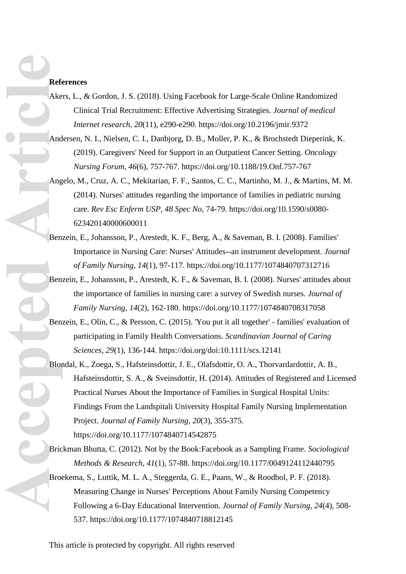#### **References**

- Akers, L., & Gordon, J. S. (2018). Using Facebook for Large-Scale Online Randomized Clinical Trial Recruitment: Effective Advertising Strategies. *Journal of medical Internet research, 20*(11), e290-e290. https://doi.org/10.2196/jmir.9372
- Andersen, N. I., Nielsen, C. I., Danbjorg, D. B., Moller, P. K., & Brochstedt Dieperink, K. (2019). Caregivers' Need for Support in an Outpatient Cancer Setting. *Oncology Nursing Forum, 46*(6), 757-767. https://doi.org/10.1188/19.Onf.757-767
- Angelo, M., Cruz, A. C., Mekitarian, F. F., Santos, C. C., Martinho, M. J., & Martins, M. M. (2014). Nurses' attitudes regarding the importance of families in pediatric nursing care. *Rev Esc Enferm USP, 48 Spec No*, 74-79. https://doi.org/10.1590/s0080- 623420140000600011
- Benzein, E., Johansson, P., Arestedt, K. F., Berg, A., & Saveman, B. I. (2008). Families' Importance in Nursing Care: Nurses' Attitudes--an instrument development. *Journal of Family Nursing, 14*(1), 97-117. https://doi.org/10.1177/1074840707312716
- Benzein, E., Johansson, P., Arestedt, K. F., & Saveman, B. I. (2008). Nurses' attitudes about the importance of families in nursing care: a survey of Swedish nurses. *Journal of Family Nursing, 14*(2), 162-180. https://doi.org/10.1177/1074840708317058
- Benzein, E., Olin, C., & Persson, C. (2015). 'You put it all together' families' evaluation of participating in Family Health Conversations. *Scandinavian Journal of Caring Sciences, 29*(1), 136-144. https://doi.org/doi:10.1111/scs.12141
- Blondal, K., Zoega, S., Hafsteinsdottir, J. E., Olafsdottir, O. A., Thorvardardottir, A. B., Hafsteinsdottir, S. A., & Sveinsdottir, H. (2014). Attitudes of Registered and Licensed Practical Nurses About the Importance of Families in Surgical Hospital Units: Findings From the Landspitali University Hospital Family Nursing Implementation Project. *Journal of Family Nursing, 20*(3), 355-375. https://doi.org/10.1177/1074840714542875 References Articles And And And Articles Articles Articles Articles Articles Articles Articles Articles Articles Articles Articles Articles Articles Articles Articles Articles Articles Articles Articles Articles Articles A
	- Brickman Bhutta, C. (2012). Not by the Book:Facebook as a Sampling Frame. *Sociological Methods & Research, 41*(1), 57-88. https://doi.org/10.1177/0049124112440795
	- Broekema, S., Luttik, M. L. A., Steggerda, G. E., Paans, W., & Roodbol, P. F. (2018). Measuring Change in Nurses' Perceptions About Family Nursing Competency Following a 6-Day Educational Intervention. *Journal of Family Nursing, 24*(4), 508- 537. https://doi.org/10.1177/1074840718812145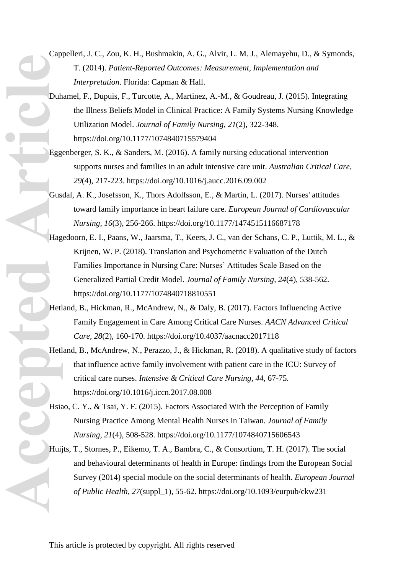- Cappelleri, J. C., Zou, K. H., Bushmakin, A. G., Alvir, L. M. J., Alemayehu, D., & Symonds, T. (2014). *Patient-Reported Outcomes: Measurement, Implementation and Interpretation*. Florida: Capman & Hall.
- Duhamel, F., Dupuis, F., Turcotte, A., Martinez, A.-M., & Goudreau, J. (2015). Integrating the Illness Beliefs Model in Clinical Practice: A Family Systems Nursing Knowledge Utilization Model. *Journal of Family Nursing, 21*(2), 322-348. https://doi.org/10.1177/1074840715579404
- Eggenberger, S. K., & Sanders, M. (2016). A family nursing educational intervention supports nurses and families in an adult intensive care unit. *Australian Critical Care, 29*(4), 217-223. https://doi.org/10.1016/j.aucc.2016.09.002
- Gusdal, A. K., Josefsson, K., Thors Adolfsson, E., & Martin, L. (2017). Nurses' attitudes toward family importance in heart failure care. *European Journal of Cardiovascular Nursing, 16*(3), 256-266. https://doi.org/10.1177/1474515116687178
- Hagedoorn, E. I., Paans, W., Jaarsma, T., Keers, J. C., van der Schans, C. P., Luttik, M. L., & Krijnen, W. P. (2018). Translation and Psychometric Evaluation of the Dutch Families Importance in Nursing Care: Nurses' Attitudes Scale Based on the Generalized Partial Credit Model. *Journal of Family Nursing, 24*(4), 538-562. https://doi.org/10.1177/1074840718810551 Pub<br>Business Press Research<br>Business Press Press Press Press Press Press Press Press Press Press Press Press Press Press Press Press Press Press Press Press Press Press Press Press Press Press Press Press Press Press Press
	- Hetland, B., Hickman, R., McAndrew, N., & Daly, B. (2017). Factors Influencing Active Family Engagement in Care Among Critical Care Nurses. *AACN Advanced Critical Care, 28*(2), 160-170. https://doi.org/10.4037/aacnacc2017118
	- Hetland, B., McAndrew, N., Perazzo, J., & Hickman, R. (2018). A qualitative study of factors that influence active family involvement with patient care in the ICU: Survey of critical care nurses. *Intensive & Critical Care Nursing, 44*, 67-75. https://doi.org/10.1016/j.iccn.2017.08.008
	- Hsiao, C. Y., & Tsai, Y. F. (2015). Factors Associated With the Perception of Family Nursing Practice Among Mental Health Nurses in Taiwan. *Journal of Family Nursing, 21*(4), 508-528. https://doi.org/10.1177/1074840715606543
	- Huijts, T., Stornes, P., Eikemo, T. A., Bambra, C., & Consortium, T. H. (2017). The social and behavioural determinants of health in Europe: findings from the European Social Survey (2014) special module on the social determinants of health. *European Journal of Public Health, 27*(suppl\_1), 55-62. https://doi.org/10.1093/eurpub/ckw231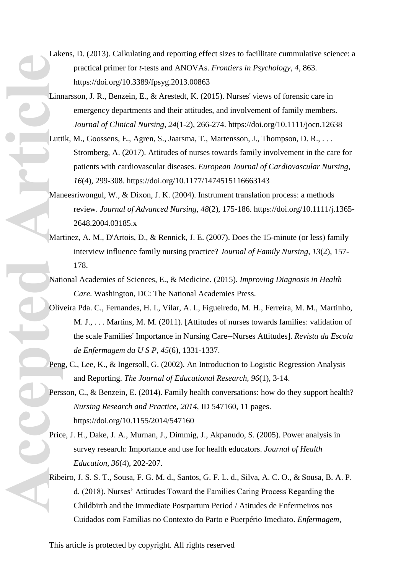Lakens, D. (2013). Calkulating and reporting effect sizes to facillitate cummulative science: a practical primer for *t*-tests and ANOVAs. *Frontiers in Psychology, 4*, 863. https://doi.org/10.3389/fpsyg.2013.00863

Linnarsson, J. R., Benzein, E., & Arestedt, K. (2015). Nurses' views of forensic care in emergency departments and their attitudes, and involvement of family members. *Journal of Clinical Nursing, 24*(1-2), 266-274. https://doi.org/10.1111/jocn.12638

Luttik, M., Goossens, E., Agren, S., Jaarsma, T., Martensson, J., Thompson, D. R., ... Stromberg, A. (2017). Attitudes of nurses towards family involvement in the care for patients with cardiovascular diseases. *European Journal of Cardiovascular Nursing, 16*(4), 299-308. https://doi.org/10.1177/1474515116663143

Maneesriwongul, W., & Dixon, J. K. (2004). Instrument translation process: a methods review. *Journal of Advanced Nursing, 48*(2), 175-186. https://doi.org/10.1111/j.1365- 2648.2004.03185.x

- Martinez, A. M., D'Artois, D., & Rennick, J. E. (2007). Does the 15-minute (or less) family interview influence family nursing practice? *Journal of Family Nursing, 13*(2), 157- 178.
- National Academies of Sciences, E., & Medicine. (2015). *Improving Diagnosis in Health Care*. Washington, DC: The National Academies Press.
- Oliveira Pda. C., Fernandes, H. I., Vilar, A. I., Figueiredo, M. H., Ferreira, M. M., Martinho, M. J., . . . Martins, M. M. (2011). [Attitudes of nurses towards families: validation of the scale Families' Importance in Nursing Care--Nurses Attitudes]. *Revista da Escola de Enfermagem da U S P, 45*(6), 1331-1337. Linn Mar<br>Mar<br>Mar<br>Mar<br>Den<sub>g</sub><br>Pers<br>Pric<br>Pers
	- Peng, C., Lee, K., & Ingersoll, G. (2002). An Introduction to Logistic Regression Analysis and Reporting. *The Journal of Educational Research, 96*(1), 3-14.
	- Persson, C., & Benzein, E. (2014). Family health conversations: how do they support health? *Nursing Research and Practice, 2014*, ID 547160, 11 pages. https://doi.org/10.1155/2014/547160
	- Price, J. H., Dake, J. A., Murnan, J., Dimmig, J., Akpanudo, S. (2005). Power analysis in survey research: Importance and use for health educators. *Journal of Health Education, 36*(4), 202-207.
	- Ribeiro, J. S. S. T., Sousa, F. G. M. d., Santos, G. F. L. d., Silva, A. C. O., & Sousa, B. A. P. d. (2018). Nurses' Attitudes Toward the Families Caring Process Regarding the Childbirth and the Immediate Postpartum Period / Atitudes de Enfermeiros nos Cuidados com Famílias no Contexto do Parto e Puerpério Imediato. *Enfermagem,*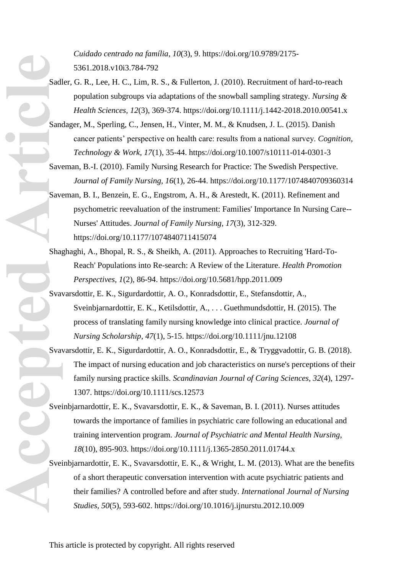*Cuidado centrado na família*, *10*(3), 9. https://doi.org/10.9789/2175- 5361.2018.v10i3.784-792

- Sadler, G. R., Lee, H. C., Lim, R. S., & Fullerton, J. (2010). Recruitment of hard-to-reach population subgroups via adaptations of the snowball sampling strategy. *Nursing & Health Sciences, 12*(3), 369-374. https://doi.org/10.1111/j.1442-2018.2010.00541.x
- Sandager, M., Sperling, C., Jensen, H., Vinter, M. M., & Knudsen, J. L. (2015). Danish cancer patients' perspective on health care: results from a national survey. *Cognition, Technology & Work, 17*(1), 35-44. https://doi.org/10.1007/s10111-014-0301-3
- Saveman, B.-I. (2010). Family Nursing Research for Practice: The Swedish Perspective. *Journal of Family Nursing, 16*(1), 26-44. https://doi.org/10.1177/1074840709360314
- Saveman, B. I., Benzein, E. G., Engstrom, A. H., & Arestedt, K. (2011). Refinement and psychometric reevaluation of the instrument: Families' Importance In Nursing Care-- Nurses' Attitudes. *Journal of Family Nursing, 17*(3), 312-329. https://doi.org/10.1177/1074840711415074
- Shaghaghi, A., Bhopal, R. S., & Sheikh, A. (2011). Approaches to Recruiting 'Hard-To-Reach' Populations into Re-search: A Review of the Literature. *Health Promotion Perspectives, 1*(2), 86-94. https://doi.org/10.5681/hpp.2011.009
- Svavarsdottir, E. K., Sigurdardottir, A. O., Konradsdottir, E., Stefansdottir, A., Sveinbjarnardottir, E. K., Ketilsdottir, A., . . . Guethmundsdottir, H. (2015). The process of translating family nursing knowledge into clinical practice. *Journal of Nursing Scholarship, 47*(1), 5-15. https://doi.org/10.1111/jnu.12108 **Accepted Articles** Save Save Save Sever Control Control Control Control Control Control Control Control Control Control Control Control Control Control Control Control Control Control Control Control Control Control Contr
	- Svavarsdottir, E. K., Sigurdardottir, A. O., Konradsdottir, E., & Tryggvadottir, G. B. (2018). The impact of nursing education and job characteristics on nurse's perceptions of their family nursing practice skills. *Scandinavian Journal of Caring Sciences, 32*(4), 1297- 1307. https://doi.org/10.1111/scs.12573
	- Sveinbjarnardottir, E. K., Svavarsdottir, E. K., & Saveman, B. I. (2011). Nurses attitudes towards the importance of families in psychiatric care following an educational and training intervention program. *Journal of Psychiatric and Mental Health Nursing, 18*(10), 895-903. https://doi.org/10.1111/j.1365-2850.2011.01744.x
	- Sveinbjarnardottir, E. K., Svavarsdottir, E. K., & Wright, L. M. (2013). What are the benefits of a short therapeutic conversation intervention with acute psychiatric patients and their families? A controlled before and after study. *International Journal of Nursing Studies, 50*(5), 593-602. https://doi.org/10.1016/j.ijnurstu.2012.10.009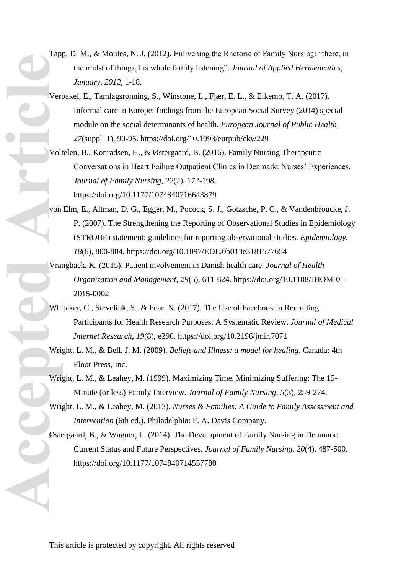- Tapp, D. M., & Moules, N. J. (2012). Enlivening the Rhetoric of Family Nursing: "there, in the midst of things, his whole family listening". *Journal of Applied Hermeneutics, January, 2012*, 1-18.
- Verbakel, E., Tamlagsrønning, S., Winstone, L., Fjær, E. L., & Eikemo, T. A. (2017). Informal care in Europe: findings from the European Social Survey (2014) special module on the social determinants of health. *European Journal of Public Health, 27*(suppl\_1), 90-95. https://doi.org/10.1093/eurpub/ckw229 **Accepted Articles** Articles Articles Articles Articles Articles Articles Articles Articles Articles Articles Articles Articles Articles Articles Articles Articles Articles Articles Articles Articles Articles Articles Arti
	- Voltelen, B., Konradsen, H., & Østergaard, B. (2016). Family Nursing Therapeutic Conversations in Heart Failure Outpatient Clinics in Denmark: Nurses' Experiences. *Journal of Family Nursing, 22*(2), 172-198. https://doi.org/10.1177/1074840716643879
	- von Elm, E., Altman, D. G., Egger, M., Pocock, S. J., Gotzsche, P. C., & Vandenbroucke, J. P. (2007). The Strengthening the Reporting of Observational Studies in Epidemiology (STROBE) statement: guidelines for reporting observational studies. *Epidemiology, 18*(6), 800-804. https://doi.org/10.1097/EDE.0b013e3181577654
	- Vrangbaek, K. (2015). Patient involvement in Danish health care. *Journal of Health Organization and Management, 29*(5), 611-624. https://doi.org/10.1108/JHOM-01- 2015-0002
	- Whitaker, C., Stevelink, S., & Fear, N. (2017). The Use of Facebook in Recruiting Participants for Health Research Purposes: A Systematic Review. *Journal of Medical Internet Research, 19*(8), e290. https://doi.org/10.2196/jmir.7071
	- Wright, L. M., & Bell, J. M. (2009). *Beliefs and Illness: a model for healing*. Canada: 4th Floor Press, Inc.
	- Wright, L. M., & Leahey, M. (1999). Maximizing Time, Minimizing Suffering: The 15- Minute (or less) Family Interview. *Journal of Family Nursing, 5*(3), 259-274.
	- Wright, L. M., & Leahey, M. (2013). *Nurses & Families: A Guide to Family Assessment and Intervention* (6th ed.). Philadelphia: F. A. Davis Company.
	- Østergaard, B., & Wagner, L. (2014). The Development of Family Nursing in Denmark: Current Status and Future Perspectives. *Journal of Family Nursing, 20*(4), 487-500. https://doi.org/10.1177/1074840714557780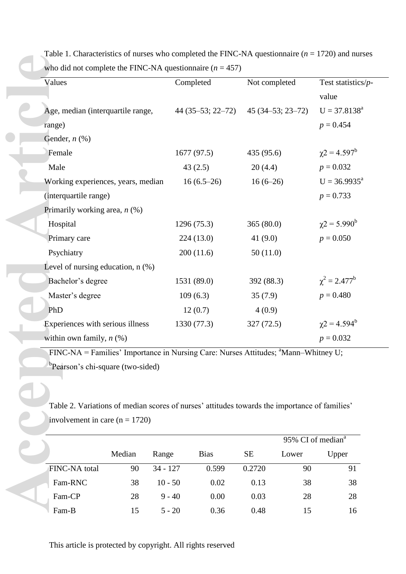| Values                                                                                         |        |            | Completed          | Not completed |                    | Test statistics/ $p$ -        |
|------------------------------------------------------------------------------------------------|--------|------------|--------------------|---------------|--------------------|-------------------------------|
|                                                                                                |        |            |                    |               |                    | value                         |
| Age, median (interquartile range,                                                              |        |            | $44(35-53; 22-72)$ |               | $45(34-53; 23-72)$ | $U = 37.8138^a$               |
| range)                                                                                         |        |            |                    |               |                    | $p = 0.454$                   |
| Gender, $n$ $(\%)$                                                                             |        |            |                    |               |                    |                               |
| Female                                                                                         |        |            | 1677(97.5)         | 435 (95.6)    |                    | $\chi$ 2 = 4.597 <sup>b</sup> |
| Male                                                                                           |        |            | 43(2.5)            | 20(4.4)       |                    | $p = 0.032$                   |
| Working experiences, years, median                                                             |        |            | $16(6.5-26)$       | $16(6-26)$    |                    | $U = 36.9935^a$               |
| (interquartile range)                                                                          |        |            |                    |               |                    | $p = 0.733$                   |
| Primarily working area, $n$ (%)                                                                |        |            |                    |               |                    |                               |
| Hospital                                                                                       |        |            | 1296 (75.3)        | 365(80.0)     |                    | $\chi$ 2 = 5.990 <sup>b</sup> |
| Primary care                                                                                   |        |            | 224(13.0)          |               | 41 $(9.0)$         |                               |
| Psychiatry                                                                                     |        |            | 200(11.6)          | 50(11.0)      |                    |                               |
| Level of nursing education, $n$ $(\%)$                                                         |        |            |                    |               |                    |                               |
| Bachelor's degree                                                                              |        |            | 1531 (89.0)        | 392 (88.3)    |                    | $\chi^2 = 2.477^b$            |
| Master's degree                                                                                |        |            | 109(6.3)           | 35(7.9)       |                    | $p = 0.480$                   |
| PhD                                                                                            |        |            | 12(0.7)            | 4(0.9)        |                    |                               |
| Experiences with serious illness                                                               |        |            | 1330 (77.3)        | 327(72.5)     |                    | $\chi$ 2 = 4.594 <sup>b</sup> |
| within own family, $n$ (%)                                                                     |        |            |                    |               |                    | $p = 0.032$                   |
| FINC-NA = Families' Importance in Nursing Care: Nurses Attitudes; <sup>a</sup> Mann-Whitney U; |        |            |                    |               |                    |                               |
| <sup>b</sup> Pearson's chi-square (two-sided)                                                  |        |            |                    |               |                    |                               |
|                                                                                                |        |            |                    |               |                    |                               |
|                                                                                                |        |            |                    |               |                    |                               |
| Table 2. Variations of median scores of nurses' attitudes towards the importance of families'  |        |            |                    |               |                    |                               |
| involvement in care $(n = 1720)$                                                               |        |            |                    |               |                    |                               |
|                                                                                                |        |            |                    |               |                    | 95% CI of median <sup>a</sup> |
|                                                                                                | Median | Range      | <b>Bias</b>        | <b>SE</b>     | Lower              | Upper                         |
| FINC-NA total                                                                                  | 90     | $34 - 127$ | 0.599              | 0.2720        | 90                 | 91                            |
| Fam-RNC                                                                                        | 38     | $10 - 50$  | 0.02               | 0.13          | 38                 | 38                            |
| Fam-CP                                                                                         | 28     | $9 - 40$   | 0.00               | 0.03          | 28                 | 28                            |
|                                                                                                |        |            |                    |               |                    |                               |

Table 1. Characteristics of nurses who completed the FINC-NA questionnaire (*n* = 1720) and nurses who did not complete the FINC-NA questionnaire  $(n = 457)$ 

|                      |        |            |             |           | 95% CI of median <sup>a</sup> |       |
|----------------------|--------|------------|-------------|-----------|-------------------------------|-------|
|                      | Median | Range      | <b>Bias</b> | <b>SE</b> | Lower                         | Upper |
| <b>FINC-NA</b> total | 90     | $34 - 127$ | 0.599       | 0.2720    | 90                            | 91    |
| Fam-RNC              | 38     | $10 - 50$  | 0.02        | 0.13      | 38                            | 38    |
| Fam-CP               | 28     | $9 - 40$   | 0.00        | 0.03      | 28                            | 28    |
| Fam-B                | 15     | $5 - 20$   | 0.36        | 0.48      | 15                            | 16    |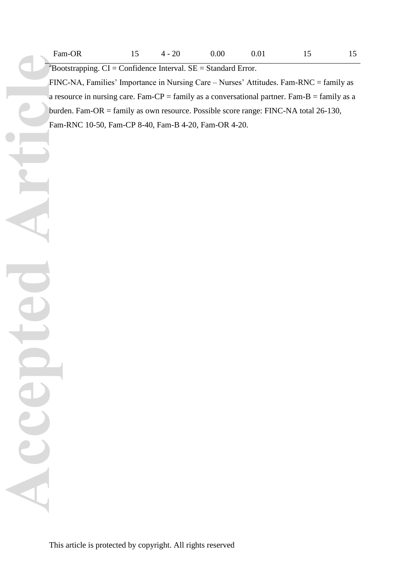$a<sup>a</sup>$ Bootstrapping. CI = Confidence Interval. SE = Standard Error.

FINC-NA, Families' Importance in Nursing Care – Nurses' Attitudes. Fam-RNC = family as a resource in nursing care. Fam-CP = family as a conversational partner. Fam-B = family as a burden. Fam-OR = family as own resource. Possible score range: FINC-NA total 26-130, Fam-RNC 10-50, Fam-CP 8-40, Fam-B 4-20, Fam-OR 4-20.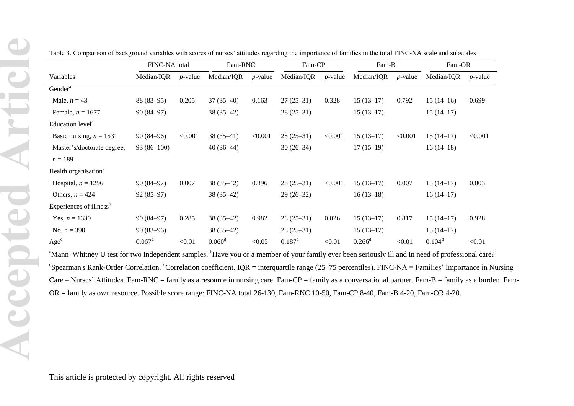|                                     | FINC-NA total   |            | Fam-RNC     |            | Fam-CP          |            | Fam-B       |            | Fam-OR      |            |
|-------------------------------------|-----------------|------------|-------------|------------|-----------------|------------|-------------|------------|-------------|------------|
| Variables                           | Median/IQR      | $p$ -value | Median/IQR  | $p$ -value | Median/IQR      | $p$ -value | Median/IQR  | $p$ -value | Median/IQR  | $p$ -value |
| Gender <sup>a</sup>                 |                 |            |             |            |                 |            |             |            |             |            |
| Male, $n = 43$                      | $88(83-95)$     | 0.205      | $37(35-40)$ | 0.163      | $27(25-31)$     | 0.328      | $15(13-17)$ | 0.792      | $15(14-16)$ | 0.699      |
| Female, $n = 1677$                  | $90(84-97)$     |            | $38(35-42)$ |            | $28(25-31)$     |            | $15(13-17)$ |            | $15(14-17)$ |            |
| Education level <sup>a</sup>        |                 |            |             |            |                 |            |             |            |             |            |
| Basic nursing, $n = 1531$           | $90(84-96)$     | < 0.001    | $38(35-41)$ | < 0.001    | $28(25-31)$     | < 0.001    | $15(13-17)$ | < 0.001    | $15(14-17)$ | < 0.001    |
| Master's/doctorate degree,          | $93(86-100)$    |            | $40(36-44)$ |            | $30(26-34)$     |            | $17(15-19)$ |            | $16(14-18)$ |            |
| $n = 189$                           |                 |            |             |            |                 |            |             |            |             |            |
| Health organisation <sup>a</sup>    |                 |            |             |            |                 |            |             |            |             |            |
| Hospital, $n = 1296$                | $90(84-97)$     | 0.007      | $38(35-42)$ | 0.896      | $28(25-31)$     | < 0.001    | $15(13-17)$ | 0.007      | $15(14-17)$ | 0.003      |
| Others, $n = 424$                   | $92(85-97)$     |            | $38(35-42)$ |            | $29(26-32)$     |            | $16(13-18)$ |            | $16(14-17)$ |            |
| Experiences of illness <sup>b</sup> |                 |            |             |            |                 |            |             |            |             |            |
| Yes, $n = 1330$                     | $90(84-97)$     | 0.285      | $38(35-42)$ | 0.982      | $28(25-31)$     | 0.026      | $15(13-17)$ | 0.817      | $15(14-17)$ | 0.928      |
| No, $n = 390$                       | $90(83-96)$     |            | $38(35-42)$ |            | $28(25-31)$     |            | $15(13-17)$ |            | $15(14-17)$ |            |
| Age <sup>c</sup>                    | $0.067^{\rm d}$ | < 0.01     | $0.060^d$   | < 0.05     | $0.187^{\rm d}$ | < 0.01     | $0.266^d$   | < 0.01     | $0.104^d$   | < 0.01     |

Table 3. Comparison of background variables with scores of nurses' attitudes regarding the importance of families in the total FINC-NA scale and subscales

<sup>a</sup>Mann–Whitney U test for two independent samples. <sup>b</sup>Have you or a member of your family ever been seriously ill and in need of professional care?  ${}^c$ Spearman's Rank-Order Correlation. <sup>d</sup>Correlation coefficient. IQR = interquartile range (25–75 percentiles). FINC-NA = Families' Importance in Nursing Care – Nurses' Attitudes. Fam-RNC = family as a resource in nursing care. Fam-CP = family as a conversational partner. Fam-B = family as a burden. Fam-OR = family as own resource. Possible score range: FINC-NA total 26-130, Fam-RNC 10-50, Fam-CP 8-40, Fam-B 4-20, Fam-OR 4-20.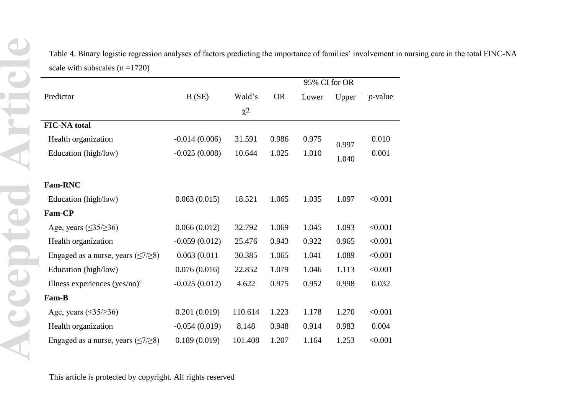Table 4. Binary logistic regression analyses of factors predicting the importance of families' involvement in nursing care in the total FINC-NA scale with subscales  $(n = 1720)$ 

|                                             |                 |          |           |       | 95% CI for OR |            |
|---------------------------------------------|-----------------|----------|-----------|-------|---------------|------------|
| Predictor                                   | B(SE)           | Wald's   | <b>OR</b> | Lower | Upper         | $p$ -value |
|                                             |                 | $\chi^2$ |           |       |               |            |
| <b>FIC-NA</b> total                         |                 |          |           |       |               |            |
| Health organization                         | $-0.014(0.006)$ | 31.591   | 0.986     | 0.975 | 0.997         | 0.010      |
| Education (high/low)                        | $-0.025(0.008)$ | 10.644   | 1.025     | 1.010 | 1.040         | 0.001      |
|                                             |                 |          |           |       |               |            |
| <b>Fam-RNC</b>                              |                 |          |           |       |               |            |
| Education (high/low)                        | 0.063(0.015)    | 18.521   | 1.065     | 1.035 | 1.097         | < 0.001    |
| <b>Fam-CP</b>                               |                 |          |           |       |               |            |
| Age, years $(\leq35/\geq36)$                | 0.066(0.012)    | 32.792   | 1.069     | 1.045 | 1.093         | < 0.001    |
| Health organization                         | $-0.059(0.012)$ | 25.476   | 0.943     | 0.922 | 0.965         | < 0.001    |
| Engaged as a nurse, years $(\leq 7/\geq 8)$ | 0.063(0.011)    | 30.385   | 1.065     | 1.041 | 1.089         | < 0.001    |
| Education (high/low)                        | 0.076(0.016)    | 22.852   | 1.079     | 1.046 | 1.113         | < 0.001    |
| Illness experiences $(yes/no)a$             | $-0.025(0.012)$ | 4.622    | 0.975     | 0.952 | 0.998         | 0.032      |
| Fam-B                                       |                 |          |           |       |               |            |
| Age, years $(\leq35/\geq36)$                | 0.201(0.019)    | 110.614  | 1.223     | 1.178 | 1.270         | < 0.001    |
| Health organization                         | $-0.054(0.019)$ | 8.148    | 0.948     | 0.914 | 0.983         | 0.004      |
| Engaged as a nurse, years $(\leq 7/\geq 8)$ | 0.189(0.019)    | 101.408  | 1.207     | 1.164 | 1.253         | < 0.001    |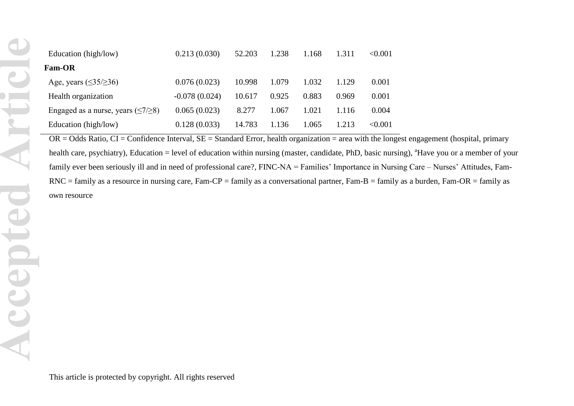| Education (high/low)                        | 0.213(0.030)    | 52.203 | 1.238 | 1.168 | 1.311 | < 0.001 |
|---------------------------------------------|-----------------|--------|-------|-------|-------|---------|
| <b>Fam-OR</b>                               |                 |        |       |       |       |         |
| Age, years $(\leq 35/\geq 36)$              | 0.076(0.023)    | 10.998 | 1.079 | 1.032 | 1.129 | 0.001   |
| Health organization                         | $-0.078(0.024)$ | 10.617 | 0.925 | 0.883 | 0.969 | 0.001   |
| Engaged as a nurse, years $(\leq 7/\geq 8)$ | 0.065(0.023)    | 8.277  | 1.067 | 1.021 | 1.116 | 0.004   |
| Education (high/low)                        | 0.128(0.033)    | 14.783 | 1.136 | 1.065 | 1.213 | < 0.001 |

 $OR = Odds$  Ratio,  $CI = Confidence Interval$ ,  $SE = Standard Error$ , health organization = area with the longest engagement (hospital, primary health care, psychiatry), Education = level of education within nursing (master, candidate, PhD, basic nursing), <sup>a</sup>Have you or a member of your family ever been seriously ill and in need of professional care?, FINC-NA = Families' Importance in Nursing Care – Nurses' Attitudes, Fam- $RNC =$  family as a resource in nursing care, Fam-CP = family as a conversational partner, Fam-B = family as a burden, Fam-OR = family as own resource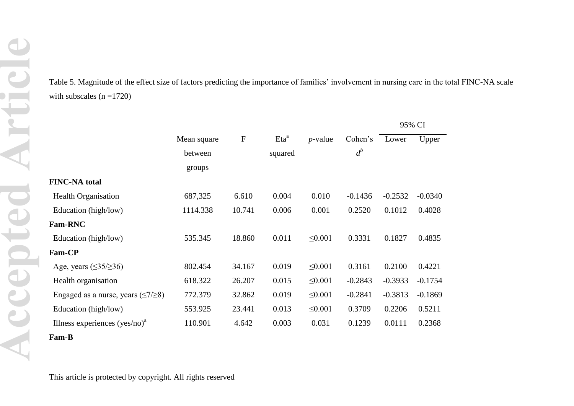Table 5. Magnitude of the effect size of factors predicting the importance of families' involvement in nursing care in the total FINC-NA scale with subscales  $(n = 1720)$ 

|                                             |             |           |         |              |           |           | 95% CI    |
|---------------------------------------------|-------------|-----------|---------|--------------|-----------|-----------|-----------|
|                                             | Mean square | ${\bf F}$ | $E^a$   | $p$ -value   | Cohen's   | Lower     | Upper     |
|                                             | between     |           | squared |              | $d^b$     |           |           |
|                                             | groups      |           |         |              |           |           |           |
| <b>FINC-NA</b> total                        |             |           |         |              |           |           |           |
| <b>Health Organisation</b>                  | 687,325     | 6.610     | 0.004   | 0.010        | $-0.1436$ | $-0.2532$ | $-0.0340$ |
| Education (high/low)                        | 1114.338    | 10.741    | 0.006   | 0.001        | 0.2520    | 0.1012    | 0.4028    |
| <b>Fam-RNC</b>                              |             |           |         |              |           |           |           |
| Education (high/low)                        | 535.345     | 18.860    | 0.011   | $\leq 0.001$ | 0.3331    | 0.1827    | 0.4835    |
| <b>Fam-CP</b>                               |             |           |         |              |           |           |           |
| Age, years $(\leq35/\geq36)$                | 802.454     | 34.167    | 0.019   | $\leq 0.001$ | 0.3161    | 0.2100    | 0.4221    |
| Health organisation                         | 618.322     | 26.207    | 0.015   | $\leq 0.001$ | $-0.2843$ | $-0.3933$ | $-0.1754$ |
| Engaged as a nurse, years $(\leq 7/\geq 8)$ | 772.379     | 32.862    | 0.019   | $\leq 0.001$ | $-0.2841$ | $-0.3813$ | $-0.1869$ |
| Education (high/low)                        | 553.925     | 23.441    | 0.013   | $\leq 0.001$ | 0.3709    | 0.2206    | 0.5211    |
| Illness experiences $(yes/no)a$             | 110.901     | 4.642     | 0.003   | 0.031        | 0.1239    | 0.0111    | 0.2368    |
| Fam-B                                       |             |           |         |              |           |           |           |